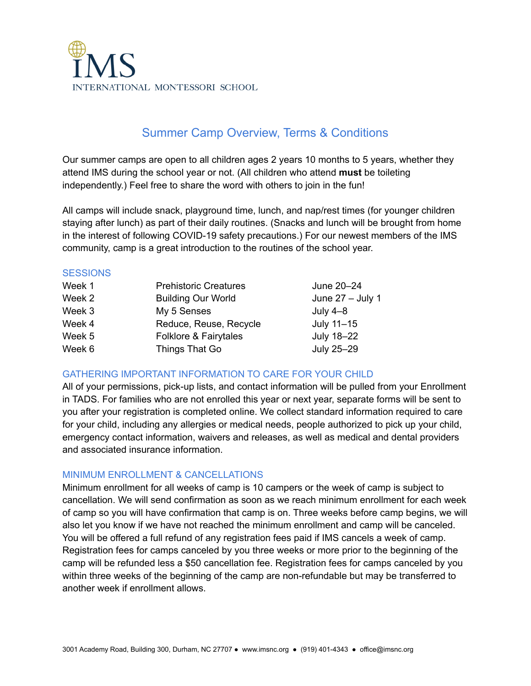

# Summer Camp Overview, Terms & Conditions

Our summer camps are open to all children ages 2 years 10 months to 5 years, whether they attend IMS during the school year or not. (All children who attend **must** be toileting independently.) Feel free to share the word with others to join in the fun!

All camps will include snack, playground time, lunch, and nap/rest times (for younger children staying after lunch) as part of their daily routines. (Snacks and lunch will be brought from home in the interest of following COVID-19 safety precautions.) For our newest members of the IMS community, camp is a great introduction to the routines of the school year.

#### **SESSIONS**

| Week 1 | <b>Prehistoric Creatures</b> | June 20-24         |
|--------|------------------------------|--------------------|
| Week 2 | <b>Building Our World</b>    | June $27 -$ July 1 |
| Week 3 | My 5 Senses                  | July $4-8$         |
| Week 4 | Reduce, Reuse, Recycle       | July 11-15         |
| Week 5 | Folklore & Fairytales        | July 18-22         |
| Week 6 | Things That Go               | July 25-29         |

## GATHERING IMPORTANT INFORMATION TO CARE FOR YOUR CHILD

All of your permissions, pick-up lists, and contact information will be pulled from your Enrollment in TADS. For families who are not enrolled this year or next year, separate forms will be sent to you after your registration is completed online. We collect standard information required to care for your child, including any allergies or medical needs, people authorized to pick up your child, emergency contact information, waivers and releases, as well as medical and dental providers and associated insurance information.

## MINIMUM ENROLLMENT & CANCELLATIONS

Minimum enrollment for all weeks of camp is 10 campers or the week of camp is subject to cancellation. We will send confirmation as soon as we reach minimum enrollment for each week of camp so you will have confirmation that camp is on. Three weeks before camp begins, we will also let you know if we have not reached the minimum enrollment and camp will be canceled. You will be offered a full refund of any registration fees paid if IMS cancels a week of camp. Registration fees for camps canceled by you three weeks or more prior to the beginning of the camp will be refunded less a \$50 cancellation fee. Registration fees for camps canceled by you within three weeks of the beginning of the camp are non-refundable but may be transferred to another week if enrollment allows.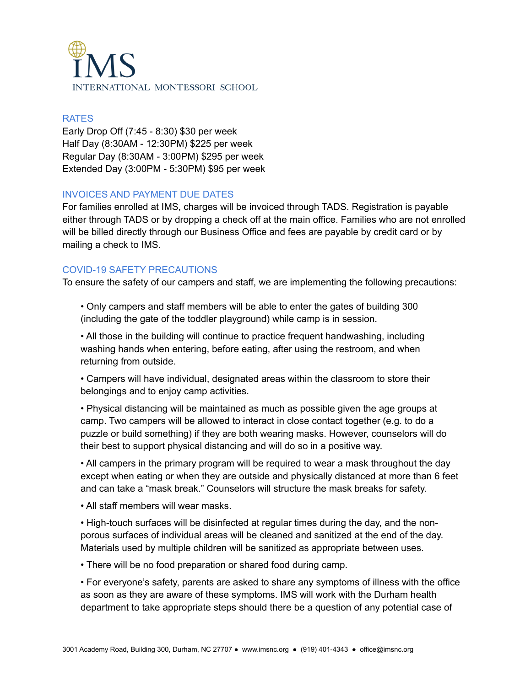

#### RATES

Early Drop Off (7:45 - 8:30) \$30 per week Half Day (8:30AM - 12:30PM) \$225 per week Regular Day (8:30AM - 3:00PM) \$295 per week Extended Day (3:00PM - 5:30PM) \$95 per week

## INVOICES AND PAYMENT DUE DATES

For families enrolled at IMS, charges will be invoiced through TADS. Registration is payable either through TADS or by dropping a check off at the main office. Families who are not enrolled will be billed directly through our Business Office and fees are payable by credit card or by mailing a check to IMS.

# COVID-19 SAFETY PRECAUTIONS

To ensure the safety of our campers and staff, we are implementing the following precautions:

• Only campers and staff members will be able to enter the gates of building 300 (including the gate of the toddler playground) while camp is in session.

• All those in the building will continue to practice frequent handwashing, including washing hands when entering, before eating, after using the restroom, and when returning from outside.

• Campers will have individual, designated areas within the classroom to store their belongings and to enjoy camp activities.

• Physical distancing will be maintained as much as possible given the age groups at camp. Two campers will be allowed to interact in close contact together (e.g. to do a puzzle or build something) if they are both wearing masks. However, counselors will do their best to support physical distancing and will do so in a positive way.

• All campers in the primary program will be required to wear a mask throughout the day except when eating or when they are outside and physically distanced at more than 6 feet and can take a "mask break." Counselors will structure the mask breaks for safety.

• All staff members will wear masks.

• High-touch surfaces will be disinfected at regular times during the day, and the nonporous surfaces of individual areas will be cleaned and sanitized at the end of the day. Materials used by multiple children will be sanitized as appropriate between uses.

• There will be no food preparation or shared food during camp.

• For everyone's safety, parents are asked to share any symptoms of illness with the office as soon as they are aware of these symptoms. IMS will work with the Durham health department to take appropriate steps should there be a question of any potential case of